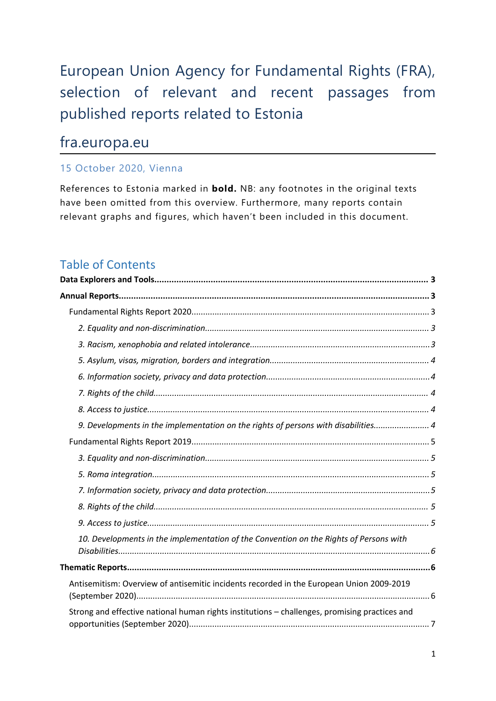# European Union Agency for Fundamental Rights (FRA), selection of relevant and recent passages from published reports related to Estonia

# fra.europa.eu

# 15 October 2020, Vienna

References to Estonia marked in **bold.** NB: any footnotes in the original texts have been omitted from this overview. Furthermore, many reports contain relevant graphs and figures, which haven'<sup>t</sup> been included in this document.

# Table of Contents

| 9. Developments in the implementation on the rights of persons with disabilities 4            |  |
|-----------------------------------------------------------------------------------------------|--|
|                                                                                               |  |
|                                                                                               |  |
|                                                                                               |  |
|                                                                                               |  |
|                                                                                               |  |
|                                                                                               |  |
| 10. Developments in the implementation of the Convention on the Rights of Persons with        |  |
|                                                                                               |  |
| Antisemitism: Overview of antisemitic incidents recorded in the European Union 2009-2019      |  |
| Strong and effective national human rights institutions - challenges, promising practices and |  |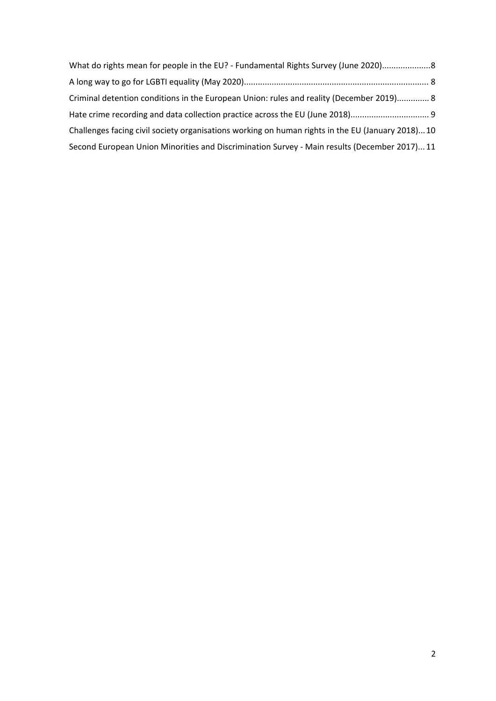| What do rights mean for people in the EU? - Fundamental Rights Survey (June 2020)8               |  |
|--------------------------------------------------------------------------------------------------|--|
|                                                                                                  |  |
| Criminal detention conditions in the European Union: rules and reality (December 2019) 8         |  |
| Hate crime recording and data collection practice across the EU (June 2018)                      |  |
| Challenges facing civil society organisations working on human rights in the EU (January 2018)10 |  |
| Second European Union Minorities and Discrimination Survey - Main results (December 2017) 11     |  |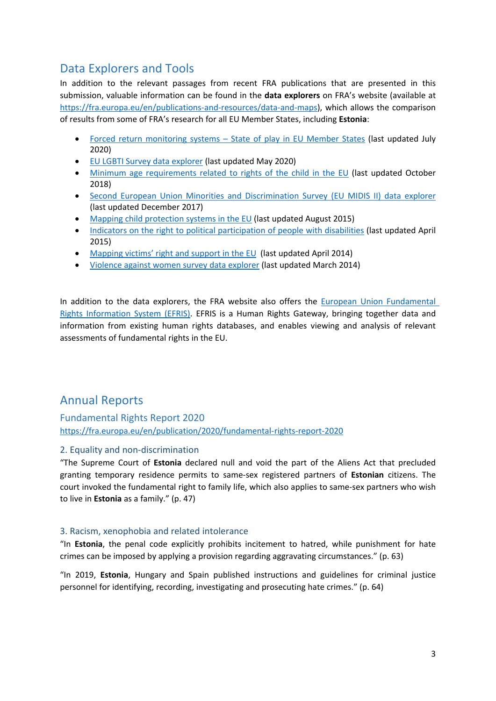# <span id="page-2-0"></span>Data Explorers and Tools

In addition to the relevant passages from recent FRA publications that are presented in this submission, valuable information can be found in the **data explorers** on FRA'<sup>s</sup> website (available at <https://fra.europa.eu/en/publications-and-resources/data-and-maps>), which allows the comparison of results from some of FRA'<sup>s</sup> research for all EU Member States, including **Estonia**:

- $\bullet$  Forced return [monitoring](https://fra.europa.eu/en/publications-and-resources/data-and-maps/return) systems – State of play in EU Member States (last updated July 2020)
- **EU LGBTI Survey data [explorer](https://fra.europa.eu/en/data-and-maps/2020/lgbti-survey-data-explorer) (last updated May 2020)**
- $\bullet$  Minimum age [requirements](https://fra.europa.eu/en/publications-and-resources/data-and-maps/minag) related to rights of the child in the EU (last updated October 2018)
- $\bullet$  Second European Union Minorities and [Discrimination](https://fra.europa.eu/en/publications-and-resources/data-and-maps/survey-data-explorer-second-eu-minorities-discrimination-survey) Survey (EU MIDIS II) data explorer (last updated December 2017)
- e Mapping child [protection](http://fra.europa.eu/en/publications-and-resources/data-and-maps/comparative-data/child-protection) systems in the EU (last updated August 2015)
- **•** Indicators on the right to political [participation](http://fra.europa.eu/en/publications-and-resources/data-and-maps/comparative-data/political-participation) of people with disabilities (last updated April 2015)
- $\bullet$ [Mapping](http://fra.europa.eu/en/publications-and-resources/data-and-maps/comparative-data/victims-support-services) victims' right and support in the EU (last updated April 2014)
- e Violence against women survey data [explorer](http://fra.europa.eu/en/publications-and-resources/data-and-maps/survey-data-explorer-violence-against-women-survey) (last updated March 2014)

In addition to the data explorers, the FRA website also offers the European Union [Fundamental](https://fra.europa.eu/en/databases/efris/) Rights [Information](https://fra.europa.eu/en/databases/efris/) System (EFRIS). EFRIS is a Human Rights Gateway, bringing together data and information from existing human rights databases, and enables viewing and analysis of relevant assessments of fundamental rights in the EU.

# Annual Reports

Fundamental Rights Report 2020 <https://fra.europa.eu/en/publication/2020/fundamental-rights-report-2020>

### 2. Equality and non-discrimination

"The Supreme Court of **Estonia** declared null and void the part of the Aliens Act that precluded granting temporary residence permits to same-sex registered partners of **Estonian** citizens. The court invoked the fundamental right to family life, which also applies to same-sex partners who wish to live in **Estonia** as <sup>a</sup> family." (p. 47)

### 3. Racism, xenophobia and related intolerance

"In **Estonia**, the penal code explicitly prohibits incitement to hatred, while punishment for hate crimes can be imposed by applying <sup>a</sup> provision regarding aggravating circumstances." (p. 63)

"In 2019, **Estonia**, Hungary and Spain published instructions and guidelines for criminal justice personnel for identifying, recording, investigating and prosecuting hate crimes." (p. 64)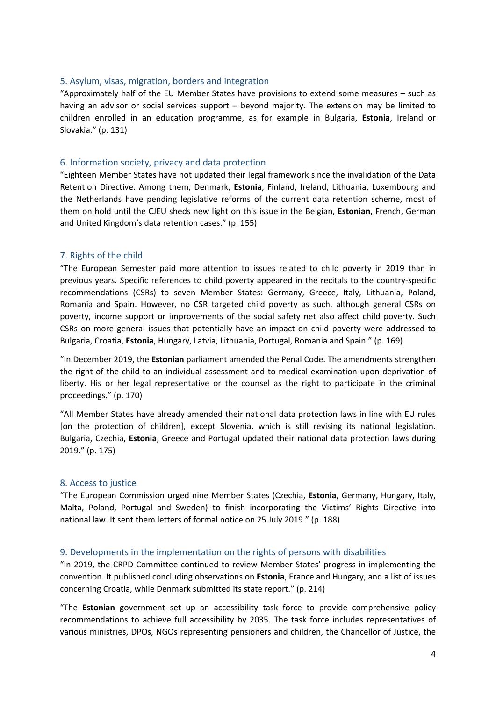#### <span id="page-3-0"></span>5. Asylum, visas, migration, borders and integration

"Approximately half of the EU Member States have provisions to extend some measures – such as having an advisor or social services support – beyond majority. The extension may be limited to children enrolled in an education programme, as for example in Bulgaria, **Estonia**, Ireland or Slovakia." (p. 131)

#### 6. Information society, privacy and data protection

"Eighteen Member States have not updated their legal framework since the invalidation of the Data Retention Directive. Among them, Denmark, **Estonia**, Finland, Ireland, Lithuania, Luxembourg and the Netherlands have pending legislative reforms of the current data retention scheme, most of them on hold until the CJEU sheds new light on this issue in the Belgian, **Estonian**, French, German and United Kingdom'<sup>s</sup> data retention cases." (p. 155)

#### 7. Rights of the child

"The European Semester paid more attention to issues related to child poverty in 2019 than in previous years. Specific references to child poverty appeared in the recitals to the country-specific recommendations (CSRs) to seven Member States: Germany, Greece, Italy, Lithuania, Poland, Romania and Spain. However, no CSR targeted child poverty as such, although general CSRs on poverty, income support or improvements of the social safety net also affect child poverty. Such CSRs on more general issues that potentially have an impact on child poverty were addressed to Bulgaria, Croatia, **Estonia**, Hungary, Latvia, Lithuania, Portugal, Romania and Spain." (p. 169)

"In December 2019, the **Estonian** parliament amended the Penal Code. The amendments strengthen the right of the child to an individual assessment and to medical examination upon deprivation of liberty. His or her legal representative or the counsel as the right to participate in the criminal proceedings." (p. 170)

"All Member States have already amended their national data protection laws in line with EU rules [on the protection of children], except Slovenia, which is still revising its national legislation. Bulgaria, Czechia, **Estonia**, Greece and Portugal updated their national data protection laws during 2019." (p. 175)

#### 8. Access to justice

"The European Commission urged nine Member States (Czechia, **Estonia**, Germany, Hungary, Italy, Malta, Poland, Portugal and Sweden) to finish incorporating the Victims' Rights Directive into national law. It sent them letters of formal notice on 25 July 2019." (p. 188)

#### 9. Developments in the implementation on the rights of persons with disabilities

"In 2019, the CRPD Committee continued to review Member States' progress in implementing the convention. It published concluding observations on **Estonia**, France and Hungary, and <sup>a</sup> list of issues concerning Croatia, while Denmark submitted its state report." (p. 214)

"The **Estonian** government set up an accessibility task force to provide comprehensive policy recommendations to achieve full accessibility by 2035. The task force includes representatives of various ministries, DPOs, NGOs representing pensioners and children, the Chancellor of Justice, the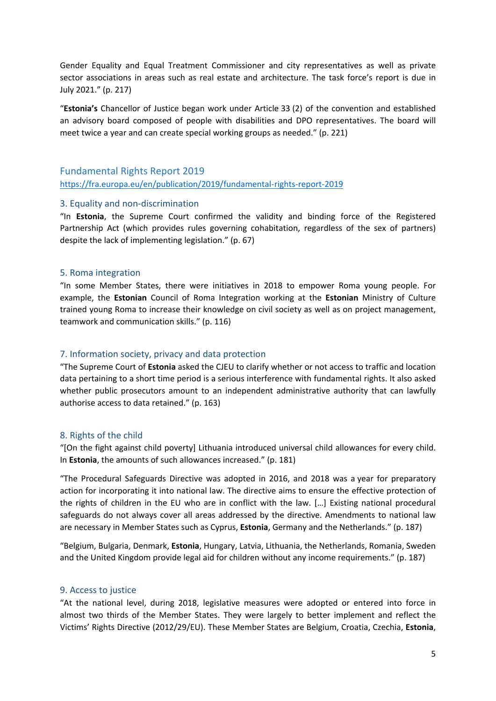<span id="page-4-0"></span>Gender Equality and Equal Treatment Commissioner and city representatives as well as private sector associations in areas such as real estate and architecture. The task force'<sup>s</sup> report is due in July 2021." (p. 217)

"**Estonia'<sup>s</sup>** Chancellor of Justice began work under Article 33 (2) of the convention and established an advisory board composed of people with disabilities and DPO representatives. The board will meet twice <sup>a</sup> year and can create special working groups as needed." (p. 221)

### Fundamental Rights Report 2019 <https://fra.europa.eu/en/publication/2019/fundamental-rights-report-2019>

#### 3. Equality and non-discrimination

"In **Estonia**, the Supreme Court confirmed the validity and binding force of the Registered Partnership Act (which provides rules governing cohabitation, regardless of the sex of partners) despite the lack of implementing legislation." (p. 67)

#### 5. Roma integration

"In some Member States, there were initiatives in 2018 to empower Roma young people. For example, the **Estonian** Council of Roma Integration working at the **Estonian** Ministry of Culture trained young Roma to increase their knowledge on civil society as well as on project management, teamwork and communication skills." (p. 116)

#### 7. Information society, privacy and data protection

"The Supreme Court of **Estonia** asked the CJEU to clarify whether or not access to traffic and location data pertaining to <sup>a</sup> short time period is <sup>a</sup> serious interference with fundamental rights. It also asked whether public prosecutors amount to an independent administrative authority that can lawfully authorise access to data retained." (p. 163)

#### 8. Rights of the child

"[On the fight against child poverty] Lithuania introduced universal child allowances for every child. In **Estonia**, the amounts of such allowances increased." (p. 181)

"The Procedural Safeguards Directive was adopted in 2016, and 2018 was <sup>a</sup> year for preparatory action for incorporating it into national law. The directive aims to ensure the effective protection of the rights of children in the EU who are in conflict with the law. […] Existing national procedural safeguards do not always cover all areas addressed by the directive. Amendments to national law are necessary in Member States such as Cyprus, **Estonia**, Germany and the Netherlands." (p. 187)

"Belgium, Bulgaria, Denmark, **Estonia**, Hungary, Latvia, Lithuania, the Netherlands, Romania, Sweden and the United Kingdom provide legal aid for children without any income requirements." (p. 187)

#### 9. Access to justice

"At the national level, during 2018, legislative measures were adopted or entered into force in almost two thirds of the Member States. They were largely to better implement and reflect the Victims' Rights Directive (2012/29/EU). These Member States are Belgium, Croatia, Czechia, **Estonia**,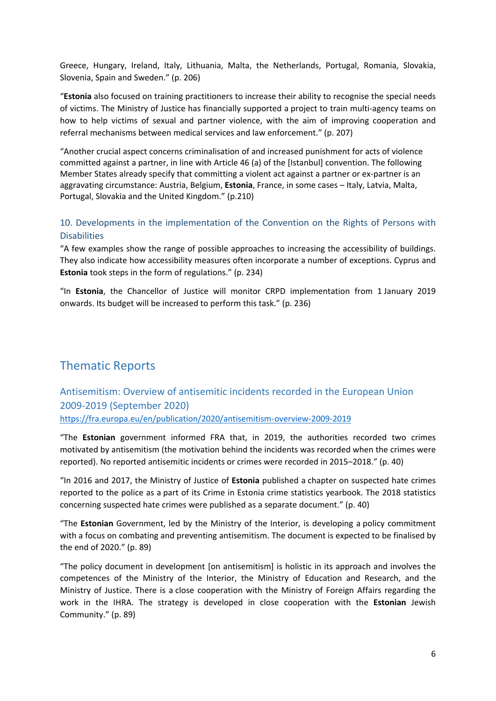<span id="page-5-0"></span>Greece, Hungary, Ireland, Italy, Lithuania, Malta, the Netherlands, Portugal, Romania, Slovakia, Slovenia, Spain and Sweden." (p. 206)

"**Estonia** also focused on training practitioners to increase their ability to recognise the special needs of victims. The Ministry of Justice has financially supported <sup>a</sup> project to train multi-agency teams on how to help victims of sexual and partner violence, with the aim of improving cooperation and referral mechanisms between medical services and law enforcement." (p. 207)

"Another crucial aspect concerns criminalisation of and increased punishment for acts of violence committed against <sup>a</sup> partner, in line with Article 46 (a) of the [Istanbul] convention. The following Member States already specify that committing <sup>a</sup> violent act against <sup>a</sup> partner or ex-partner is an aggravating circumstance: Austria, Belgium, **Estonia**, France, in some cases – Italy, Latvia, Malta, Portugal, Slovakia and the United Kingdom." (p.210)

### 10. Developments in the implementation of the Convention on the Rights of Persons with **Disabilities**

"A few examples show the range of possible approaches to increasing the accessibility of buildings. They also indicate how accessibility measures often incorporate <sup>a</sup> number of exceptions. Cyprus and **Estonia** took steps in the form of regulations." (p. 234)

"In **Estonia**, the Chancellor of Justice will monitor CRPD implementation from 1 January 2019 onwards. Its budget will be increased to perform this task." (p. 236)

# Thematic Reports

# Antisemitism: Overview of antisemitic incidents recorded in the European Union 2009-2019 (September 2020)

<https://fra.europa.eu/en/publication/2020/antisemitism-overview-2009-2019>

"The **Estonian** government informed FRA that, in 2019, the authorities recorded two crimes motivated by antisemitism (the motivation behind the incidents was recorded when the crimes were reported). No reported antisemitic incidents or crimes were recorded in 2015–2018." (p. 40)

"In 2016 and 2017, the Ministry of Justice of **Estonia** published <sup>a</sup> chapter on suspected hate crimes reported to the police as <sup>a</sup> part of its Crime in Estonia crime statistics yearbook. The 2018 statistics concerning suspected hate crimes were published as <sup>a</sup> separate document." (p. 40)

"The **Estonian** Government, led by the Ministry of the Interior, is developing <sup>a</sup> policy commitment with <sup>a</sup> focus on combating and preventing antisemitism. The document is expected to be finalised by the end of 2020." (p. 89)

"The policy document in development [on antisemitism] is holistic in its approach and involves the competences of the Ministry of the Interior, the Ministry of Education and Research, and the Ministry of Justice. There is <sup>a</sup> close cooperation with the Ministry of Foreign Affairs regarding the work in the IHRA. The strategy is developed in close cooperation with the **Estonian** Jewish Community." (p. 89)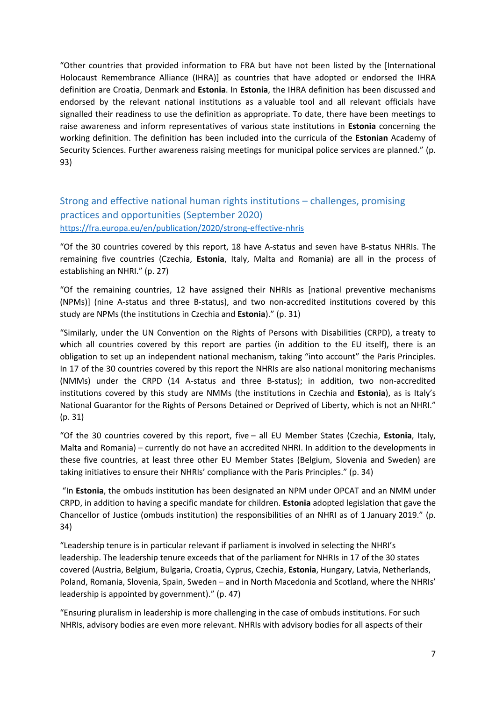<span id="page-6-0"></span>"Other countries that provided information to FRA but have not been listed by the [International Holocaust Remembrance Alliance (IHRA)] as countries that have adopted or endorsed the IHRA definition are Croatia, Denmark and **Estonia**. In **Estonia**, the IHRA definition has been discussed and endorsed by the relevant national institutions as <sup>a</sup> valuable tool and all relevant officials have signalled their readiness to use the definition as appropriate. To date, there have been meetings to raise awareness and inform representatives of various state institutions in **Estonia** concerning the working definition. The definition has been included into the curricula of the **Estonian** Academy of Security Sciences. Further awareness raising meetings for municipal police services are planned." (p. 93)

# Strong and effective national human rights institutions – challenges, promising practices and opportunities (September 2020) <https://fra.europa.eu/en/publication/2020/strong-effective-nhris>

"Of the 30 countries covered by this report, 18 have A-status and seven have B-status NHRIs. The remaining five countries (Czechia, **Estonia**, Italy, Malta and Romania) are all in the process of establishing an NHRI." (p. 27)

"Of the remaining countries, 12 have assigned their NHRIs as [national preventive mechanisms (NPMs)] (nine A-status and three B-status), and two non-accredited institutions covered by this study are NPMs (the institutions in Czechia and **Estonia**)." (p. 31)

"Similarly, under the UN Convention on the Rights of Persons with Disabilities (CRPD), <sup>a</sup> treaty to which all countries covered by this report are parties (in addition to the EU itself), there is an obligation to set up an independent national mechanism, taking "into account" the Paris Principles. In 17 of the 30 countries covered by this report the NHRIs are also national monitoring mechanisms (NMMs) under the CRPD (14 A-status and three B-status); in addition, two non-accredited institutions covered by this study are NMMs (the institutions in Czechia and **Estonia**), as is Italy'<sup>s</sup> National Guarantor for the Rights of Persons Detained or Deprived of Liberty, which is not an NHRI." (p. 31)

"Of the 30 countries covered by this report, five – all EU Member States (Czechia, **Estonia**, Italy, Malta and Romania) – currently do not have an accredited NHRI. In addition to the developments in these five countries, at least three other EU Member States (Belgium, Slovenia and Sweden) are taking initiatives to ensure their NHRIs' compliance with the Paris Principles." (p. 34)

"In **Estonia**, the ombuds institution has been designated an NPM under OPCAT and an NMM under CRPD, in addition to having <sup>a</sup> specific mandate for children. **Estonia** adopted legislation that gave the Chancellor of Justice (ombuds institution) the responsibilities of an NHRI as of 1 January 2019." (p. 34)

"Leadership tenure is in particular relevant if parliament is involved in selecting the NHRI'<sup>s</sup> leadership. The leadership tenure exceeds that of the parliament for NHRIs in 17 of the 30 states covered (Austria, Belgium, Bulgaria, Croatia, Cyprus, Czechia, **Estonia**, Hungary, Latvia, Netherlands, Poland, Romania, Slovenia, Spain, Sweden – and in North Macedonia and Scotland, where the NHRIs' leadership is appointed by government)." (p. 47)

"Ensuring pluralism in leadership is more challenging in the case of ombuds institutions. For such NHRIs, advisory bodies are even more relevant. NHRIs with advisory bodies for all aspects of their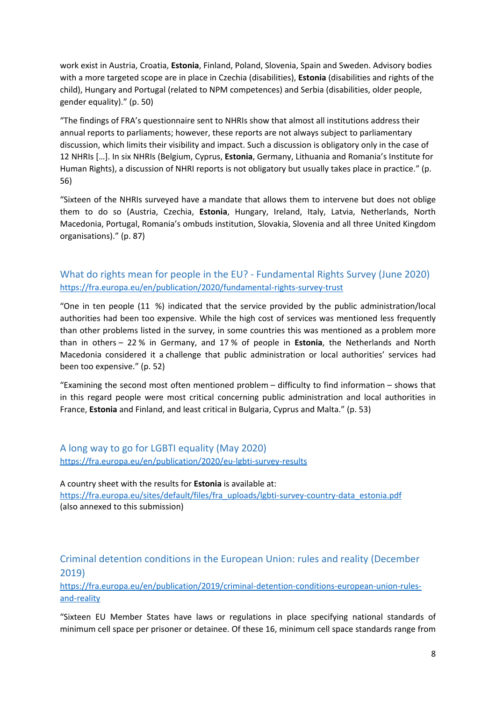<span id="page-7-0"></span>work exist in Austria, Croatia, **Estonia**, Finland, Poland, Slovenia, Spain and Sweden. Advisory bodies with <sup>a</sup> more targeted scope are in place in Czechia (disabilities), **Estonia** (disabilities and rights of the child), Hungary and Portugal (related to NPM competences) and Serbia (disabilities, older people, gender equality)." (p. 50)

"The findings of FRA'<sup>s</sup> questionnaire sent to NHRIs show that almost all institutions address their annual reports to parliaments; however, these reports are not always subject to parliamentary discussion, which limits their visibility and impact. Such <sup>a</sup> discussion is obligatory only in the case of 12 NHRIs […]. In six NHRIs (Belgium, Cyprus, **Estonia**, Germany, Lithuania and Romania'<sup>s</sup> Institute for Human Rights), <sup>a</sup> discussion of NHRI reports is not obligatory but usually takes place in practice." (p. 56)

"Sixteen of the NHRIs surveyed have <sup>a</sup> mandate that allows them to intervene but does not oblige them to do so (Austria, Czechia, **Estonia**, Hungary, Ireland, Italy, Latvia, Netherlands, North Macedonia, Portugal, Romania'<sup>s</sup> ombuds institution, Slovakia, Slovenia and all three United Kingdom organisations)." (p. 87)

### What do rights mean for people in the EU? - Fundamental Rights Survey (June 2020) <https://fra.europa.eu/en/publication/2020/fundamental-rights-survey-trust>

"One in ten people (11 %) indicated that the service provided by the public administration/local authorities had been too expensive. While the high cost of services was mentioned less frequently than other problems listed in the survey, in some countries this was mentioned as <sup>a</sup> problem more than in others – 22 % in Germany, and 17 % of people in **Estonia**, the Netherlands and North Macedonia considered it <sup>a</sup> challenge that public administration or local authorities' services had been too expensive." (p. 52)

"Examining the second most often mentioned problem – difficulty to find information – shows that in this regard people were most critical concerning public administration and local authorities in France, **Estonia** and Finland, and least critical in Bulgaria, Cyprus and Malta." (p. 53)

### A long way to go for LGBTI equality (May 2020) <https://fra.europa.eu/en/publication/2020/eu-lgbti-survey-results>

A country sheet with the results for **Estonia** is available at: [https://fra.europa.eu/sites/default/files/fra\\_uploads/lgbti-survey-country-data\\_estonia.pdf](https://fra.europa.eu/sites/default/files/fra_uploads/lgbti-survey-country-data_estonia.pdf) (also annexed to this submission)

## Criminal detention conditions in the European Union: rules and reality (December 2019)

[https://fra.europa.eu/en/publication/2019/criminal-detention-conditions-european-union-rules](https://fra.europa.eu/en/publication/2019/criminal-detention-conditions-european-union-rules-and-reality)[and-reality](https://fra.europa.eu/en/publication/2019/criminal-detention-conditions-european-union-rules-and-reality)

"Sixteen EU Member States have laws or regulations in place specifying national standards of minimum cell space per prisoner or detainee. Of these 16, minimum cell space standards range from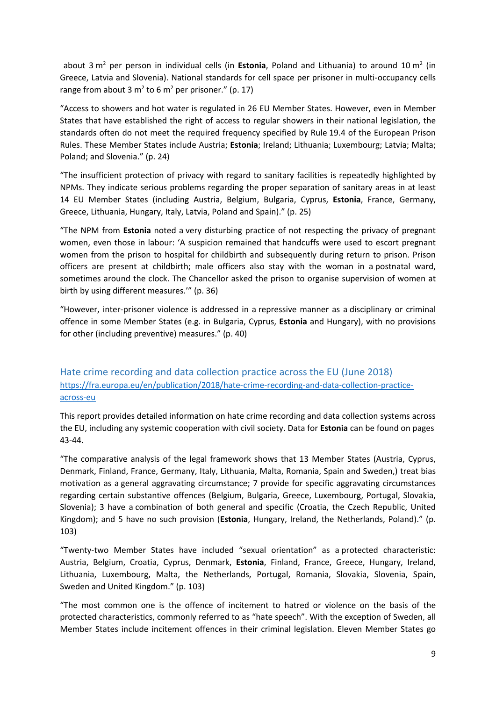<span id="page-8-0"></span>about 3 m<sup>2</sup> per person in individual cells (in **Estonia**, Poland and Lithuania) to around 10 m<sup>2</sup> (in Greece, Latvia and Slovenia). National standards for cell space per prisoner in multi-occupancy cells range from about 3 m<sup>2</sup> to 6 m<sup>2</sup> per prisoner." (p. 17)

"Access to showers and hot water is regulated in 26 EU Member States. However, even in Member States that have established the right of access to regular showers in their national legislation, the standards often do not meet the required frequency specified by Rule 19.4 of the European Prison Rules. These Member States include Austria; **Estonia**; Ireland; Lithuania; Luxembourg; Latvia; Malta; Poland; and Slovenia." (p. 24)

"The insufficient protection of privacy with regard to sanitary facilities is repeatedly highlighted by NPMs. They indicate serious problems regarding the proper separation of sanitary areas in at least 14 EU Member States (including Austria, Belgium, Bulgaria, Cyprus, **Estonia**, France, Germany, Greece, Lithuania, Hungary, Italy, Latvia, Poland and Spain)." (p. 25)

"The NPM from **Estonia** noted <sup>a</sup> very disturbing practice of not respecting the privacy of pregnant women, even those in labour: 'A suspicion remained that handcuffs were used to escort pregnant women from the prison to hospital for childbirth and subsequently during return to prison. Prison officers are present at childbirth; male officers also stay with the woman in <sup>a</sup> postnatal ward, sometimes around the clock. The Chancellor asked the prison to organise supervision of women at birth by using different measures.'" (p. 36)

"However, inter-prisoner violence is addressed in <sup>a</sup> repressive manner as <sup>a</sup> disciplinary or criminal offence in some Member States (e.g. in Bulgaria, Cyprus, **Estonia** and Hungary), with no provisions for other (including preventive) measures." (p. 40)

## Hate crime recording and data collection practice across the EU (June 2018) [https://fra.europa.eu/en/publication/2018/hate-crime-recording-and-data-collection-practice](https://fra.europa.eu/en/publication/2018/hate-crime-recording-and-data-collection-practice-across-eu)[across-eu](https://fra.europa.eu/en/publication/2018/hate-crime-recording-and-data-collection-practice-across-eu)

This report provides detailed information on hate crime recording and data collection systems across the EU, including any systemic cooperation with civil society. Data for **Estonia** can be found on pages 43-44.

"The comparative analysis of the legal framework shows that 13 Member States (Austria, Cyprus, Denmark, Finland, France, Germany, Italy, Lithuania, Malta, Romania, Spain and Sweden,) treat bias motivation as <sup>a</sup> general aggravating circumstance; 7 provide for specific aggravating circumstances regarding certain substantive offences (Belgium, Bulgaria, Greece, Luxembourg, Portugal, Slovakia, Slovenia); 3 have <sup>a</sup> combination of both general and specific (Croatia, the Czech Republic, United Kingdom); and 5 have no such provision (**Estonia**, Hungary, Ireland, the Netherlands, Poland)." (p. 103)

"Twenty-two Member States have included "sexual orientation" as <sup>a</sup> protected characteristic: Austria, Belgium, Croatia, Cyprus, Denmark, **Estonia**, Finland, France, Greece, Hungary, Ireland, Lithuania, Luxembourg, Malta, the Netherlands, Portugal, Romania, Slovakia, Slovenia, Spain, Sweden and United Kingdom." (p. 103)

"The most common one is the offence of incitement to hatred or violence on the basis of the protected characteristics, commonly referred to as "hate speech". With the exception of Sweden, all Member States include incitement offences in their criminal legislation. Eleven Member States go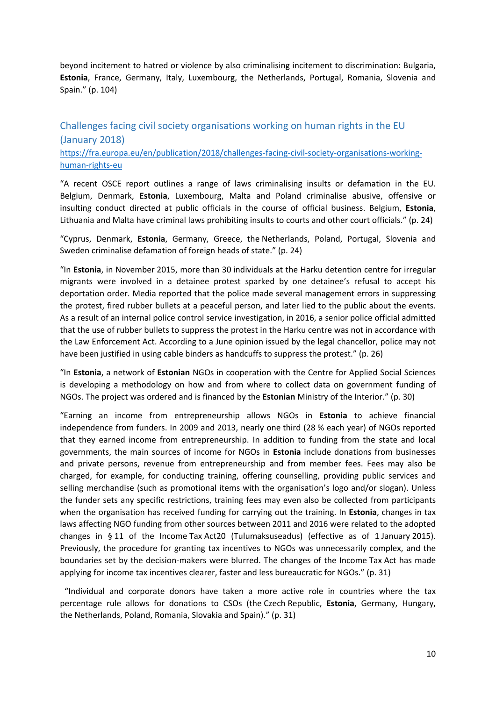<span id="page-9-0"></span>beyond incitement to hatred or violence by also criminalising incitement to discrimination: Bulgaria, **Estonia**, France, Germany, Italy, Luxembourg, the Netherlands, Portugal, Romania, Slovenia and Spain." (p. 104)

# Challenges facing civil society organisations working on human rights in the EU (January 2018) [https://fra.europa.eu/en/publication/2018/challenges-facing-civil-society-organisations-working](https://fra.europa.eu/en/publication/2018/challenges-facing-civil-society-organisations-working-human-rights-eu)[human-rights-eu](https://fra.europa.eu/en/publication/2018/challenges-facing-civil-society-organisations-working-human-rights-eu)

"A recent OSCE report outlines <sup>a</sup> range of laws criminalising insults or defamation in the EU. Belgium, Denmark, **Estonia**, Luxembourg, Malta and Poland criminalise abusive, offensive or insulting conduct directed at public officials in the course of official business. Belgium, **Estonia**, Lithuania and Malta have criminal laws prohibiting insults to courts and other court officials." (p. 24)

"Cyprus, Denmark, **Estonia**, Germany, Greece, the Netherlands, Poland, Portugal, Slovenia and Sweden criminalise defamation of foreign heads of state." (p. 24)

"In **Estonia**, in November 2015, more than 30 individuals at the Harku detention centre for irregular migrants were involved in <sup>a</sup> detainee protest sparked by one detainee'<sup>s</sup> refusal to accept his deportation order. Media reported that the police made several management errors in suppressing the protest, fired rubber bullets at <sup>a</sup> peaceful person, and later lied to the public about the events. As <sup>a</sup> result of an internal police control service investigation, in 2016, <sup>a</sup> senior police official admitted that the use of rubber bullets to suppress the protest in the Harku centre was not in accordance with the Law Enforcement Act. According to <sup>a</sup> June opinion issued by the legal chancellor, police may not have been justified in using cable binders as handcuffs to suppress the protest." (p. 26)

"In **Estonia**, <sup>a</sup> network of **Estonian** NGOs in cooperation with the Centre for Applied Social Sciences is developing <sup>a</sup> methodology on how and from where to collect data on government funding of NGOs. The project was ordered and is financed by the **Estonian** Ministry of the Interior." (p. 30)

"Earning an income from entrepreneurship allows NGOs in **Estonia** to achieve financial independence from funders. In 2009 and 2013, nearly one third (28 % each year) of NGOs reported that they earned income from entrepreneurship. In addition to funding from the state and local governments, the main sources of income for NGOs in **Estonia** include donations from businesses and private persons, revenue from entrepreneurship and from member fees. Fees may also be charged, for example, for conducting training, offering counselling, providing public services and selling merchandise (such as promotional items with the organisation'<sup>s</sup> logo and/or slogan). Unless the funder sets any specific restrictions, training fees may even also be collected from participants when the organisation has received funding for carrying out the training. In **Estonia**, changes in tax laws affecting NGO funding from other sources between 2011 and 2016 were related to the adopted changes in § 11 of the Income Tax Act20 (Tulumaksuseadus) (effective as of 1 January 2015). Previously, the procedure for granting tax incentives to NGOs was unnecessarily complex, and the boundaries set by the decision-makers were blurred. The changes of the Income Tax Act has made applying for income tax incentives clearer, faster and less bureaucratic for NGOs." (p. 31)

"Individual and corporate donors have taken <sup>a</sup> more active role in countries where the tax percentage rule allows for donations to CSOs (the Czech Republic, **Estonia**, Germany, Hungary, the Netherlands, Poland, Romania, Slovakia and Spain)." (p. 31)